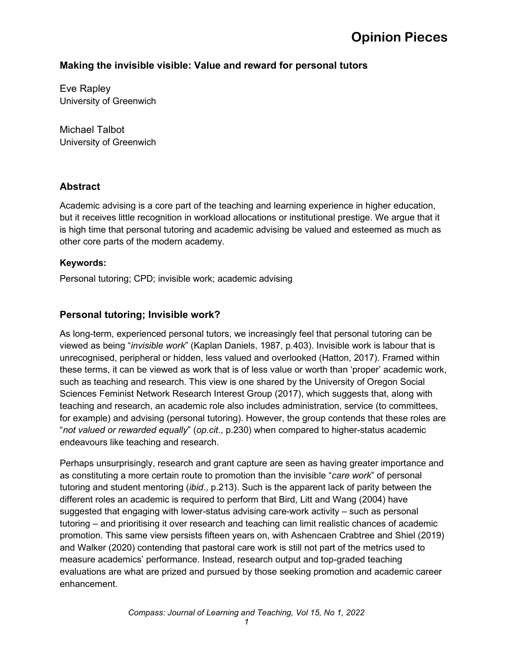## **Making the invisible visible: Value and reward for personal tutors**

Eve Rapley University of Greenwich

Michael Talbot University of Greenwich

### **Abstract**

Academic advising is a core part of the teaching and learning experience in higher education, but it receives little recognition in workload allocations or institutional prestige. We argue that it is high time that personal tutoring and academic advising be valued and esteemed as much as other core parts of the modern academy.

#### **Keywords:**

Personal tutoring; CPD; invisible work; academic advising

### **Personal tutoring; Invisible work?**

As long-term, experienced personal tutors, we increasingly feel that personal tutoring can be viewed as being "*invisible work*" (Kaplan Daniels, 1987, p.403). Invisible work is labour that is unrecognised, peripheral or hidden, less valued and overlooked (Hatton, 2017). Framed within these terms, it can be viewed as work that is of less value or worth than 'proper' academic work, such as teaching and research. This view is one shared by the University of Oregon Social Sciences Feminist Network Research Interest Group (2017), which suggests that, along with teaching and research, an academic role also includes administration, service (to committees, for example) and advising (personal tutoring). However, the group contends that these roles are "*not valued or rewarded equally*" (*op.cit*., p.230) when compared to higher-status academic endeavours like teaching and research.

Perhaps unsurprisingly, research and grant capture are seen as having greater importance and as constituting a more certain route to promotion than the invisible "*care work*" of personal tutoring and student mentoring (*ibid*., p.213). Such is the apparent lack of parity between the different roles an academic is required to perform that Bird, Litt and Wang (2004) have suggested that engaging with lower-status advising care-work activity – such as personal tutoring – and prioritising it over research and teaching can limit realistic chances of academic promotion. This same view persists fifteen years on, with Ashencaen Crabtree and Shiel (2019) and Walker (2020) contending that pastoral care work is still not part of the metrics used to measure academics' performance. Instead, research output and top-graded teaching evaluations are what are prized and pursued by those seeking promotion and academic career enhancement.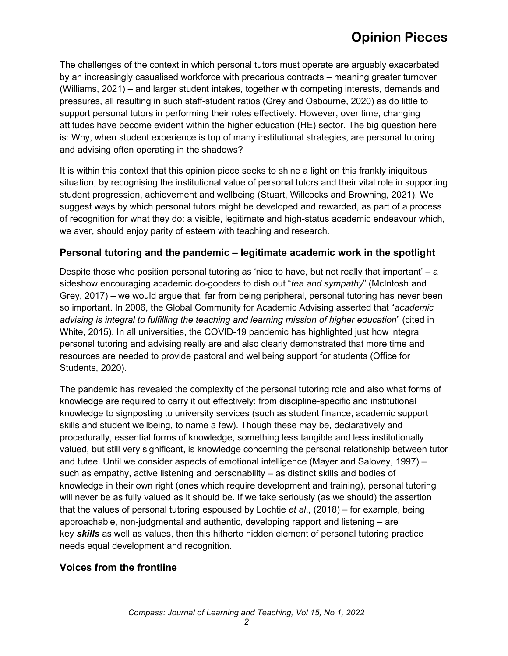The challenges of the context in which personal tutors must operate are arguably exacerbated by an increasingly casualised workforce with precarious contracts – meaning greater turnover (Williams, 2021) – and larger student intakes, together with competing interests, demands and pressures, all resulting in such staff-student ratios (Grey and Osbourne, 2020) as do little to support personal tutors in performing their roles effectively. However, over time, changing attitudes have become evident within the higher education (HE) sector. The big question here is: Why, when student experience is top of many institutional strategies, are personal tutoring and advising often operating in the shadows?

It is within this context that this opinion piece seeks to shine a light on this frankly iniquitous situation, by recognising the institutional value of personal tutors and their vital role in supporting student progression, achievement and wellbeing (Stuart, Willcocks and Browning, 2021). We suggest ways by which personal tutors might be developed and rewarded, as part of a process of recognition for what they do: a visible, legitimate and high-status academic endeavour which, we aver, should enjoy parity of esteem with teaching and research.

### **Personal tutoring and the pandemic – legitimate academic work in the spotlight**

Despite those who position personal tutoring as 'nice to have, but not really that important' – a sideshow encouraging academic do-gooders to dish out "*tea and sympathy*" (McIntosh and Grey, 2017) – we would argue that, far from being peripheral, personal tutoring has never been so important. In 2006, the Global Community for Academic Advising asserted that "*academic advising is integral to fulfilling the teaching and learning mission of higher education*" (cited in White, 2015). In all universities, the COVID-19 pandemic has highlighted just how integral personal tutoring and advising really are and also clearly demonstrated that more time and resources are needed to provide pastoral and wellbeing support for students (Office for Students, 2020).

The pandemic has revealed the complexity of the personal tutoring role and also what forms of knowledge are required to carry it out effectively: from discipline-specific and institutional knowledge to signposting to university services (such as student finance, academic support skills and student wellbeing, to name a few). Though these may be, declaratively and procedurally, essential forms of knowledge, something less tangible and less institutionally valued, but still very significant, is knowledge concerning the personal relationship between tutor and tutee. Until we consider aspects of emotional intelligence (Mayer and Salovey, 1997) – such as empathy, active listening and personability – as distinct skills and bodies of knowledge in their own right (ones which require development and training), personal tutoring will never be as fully valued as it should be. If we take seriously (as we should) the assertion that the values of personal tutoring espoused by Lochtie *et al*., (2018) – for example, being approachable, non-judgmental and authentic, developing rapport and listening – are key *skills* as well as values, then this hitherto hidden element of personal tutoring practice needs equal development and recognition.

### **Voices from the frontline**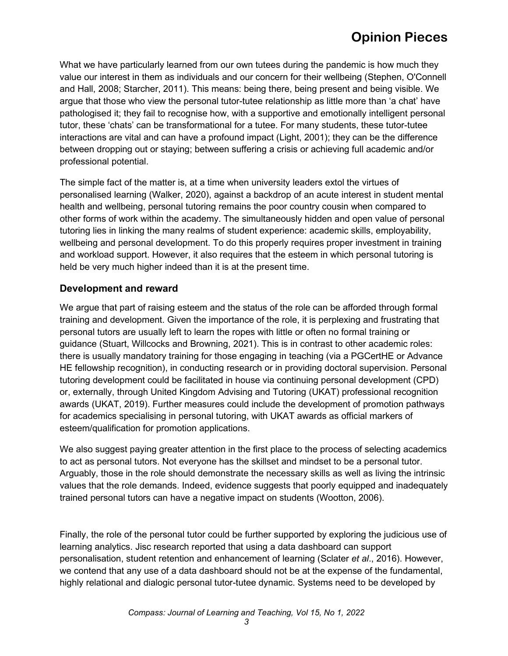What we have particularly learned from our own tutees during the pandemic is how much they value our interest in them as individuals and our concern for their wellbeing (Stephen, O'Connell and Hall, 2008; Starcher, 2011). This means: being there, being present and being visible. We argue that those who view the personal tutor-tutee relationship as little more than 'a chat' have pathologised it; they fail to recognise how, with a supportive and emotionally intelligent personal tutor, these 'chats' can be transformational for a tutee. For many students, these tutor-tutee interactions are vital and can have a profound impact (Light, 2001); they can be the difference between dropping out or staying; between suffering a crisis or achieving full academic and/or professional potential.

The simple fact of the matter is, at a time when university leaders extol the virtues of personalised learning (Walker, 2020), against a backdrop of an acute interest in student mental health and wellbeing, personal tutoring remains the poor country cousin when compared to other forms of work within the academy. The simultaneously hidden and open value of personal tutoring lies in linking the many realms of student experience: academic skills, employability, wellbeing and personal development. To do this properly requires proper investment in training and workload support. However, it also requires that the esteem in which personal tutoring is held be very much higher indeed than it is at the present time.

### **Development and reward**

We argue that part of raising esteem and the status of the role can be afforded through formal training and development. Given the importance of the role, it is perplexing and frustrating that personal tutors are usually left to learn the ropes with little or often no formal training or guidance (Stuart, Willcocks and Browning, 2021). This is in contrast to other academic roles: there is usually mandatory training for those engaging in teaching (via a PGCertHE or Advance HE fellowship recognition), in conducting research or in providing doctoral supervision. Personal tutoring development could be facilitated in house via continuing personal development (CPD) or, externally, through United Kingdom Advising and Tutoring (UKAT) professional recognition awards (UKAT, 2019). Further measures could include the development of promotion pathways for academics specialising in personal tutoring, with UKAT awards as official markers of esteem/qualification for promotion applications.

We also suggest paying greater attention in the first place to the process of selecting academics to act as personal tutors. Not everyone has the skillset and mindset to be a personal tutor. Arguably, those in the role should demonstrate the necessary skills as well as living the intrinsic values that the role demands. Indeed, evidence suggests that poorly equipped and inadequately trained personal tutors can have a negative impact on students (Wootton, 2006).

Finally, the role of the personal tutor could be further supported by exploring the judicious use of learning analytics. Jisc research reported that using a data dashboard can support personalisation, student retention and enhancement of learning (Sclater *et al*., 2016). However, we contend that any use of a data dashboard should not be at the expense of the fundamental, highly relational and dialogic personal tutor-tutee dynamic. Systems need to be developed by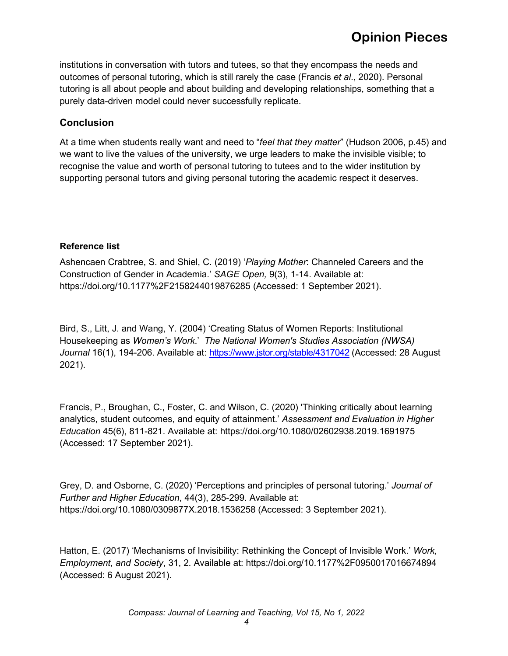institutions in conversation with tutors and tutees, so that they encompass the needs and outcomes of personal tutoring, which is still rarely the case (Francis *et al*., 2020). Personal tutoring is all about people and about building and developing relationships, something that a purely data-driven model could never successfully replicate.

### **Conclusion**

At a time when students really want and need to "*feel that they matter*" (Hudson 2006, p.45) and we want to live the values of the university, we urge leaders to make the invisible visible; to recognise the value and worth of personal tutoring to tutees and to the wider institution by supporting personal tutors and giving personal tutoring the academic respect it deserves.

#### **Reference list**

Ashencaen Crabtree, S. and Shiel, C. (2019) '*Playing Mother*: Channeled Careers and the Construction of Gender in Academia.' *SAGE Open,* 9(3), 1-14. Available at: https://doi.org/10.1177%2F2158244019876285 (Accessed: 1 September 2021).

Bird, S., Litt, J. and Wang, Y. (2004) 'Creating Status of Women Reports: Institutional Housekeeping as *Women's Work*.' *The National Women's Studies Association (NWSA) Journal* 16(1), 194-206. Available at:<https://www.jstor.org/stable/4317042> (Accessed: 28 August 2021).

Francis, P., Broughan, C., Foster, C. and Wilson, C. (2020) 'Thinking critically about learning analytics, student outcomes, and equity of attainment.' *Assessment and Evaluation in Higher Education* 45(6), 811-821. Available at: https://doi.org/10.1080/02602938.2019.1691975 (Accessed: 17 September 2021).

Grey, D. and Osborne, C. (2020) 'Perceptions and principles of personal tutoring.' *Journal of Further and Higher Education*, 44(3), 285-299. Available at: https://doi.org/10.1080/0309877X.2018.1536258 (Accessed: 3 September 2021).

Hatton, E. (2017) 'Mechanisms of Invisibility: Rethinking the Concept of Invisible Work.' *Work, Employment, and Society*, 31, 2. Available at: https://doi.org/10.1177%2F0950017016674894 (Accessed: 6 August 2021).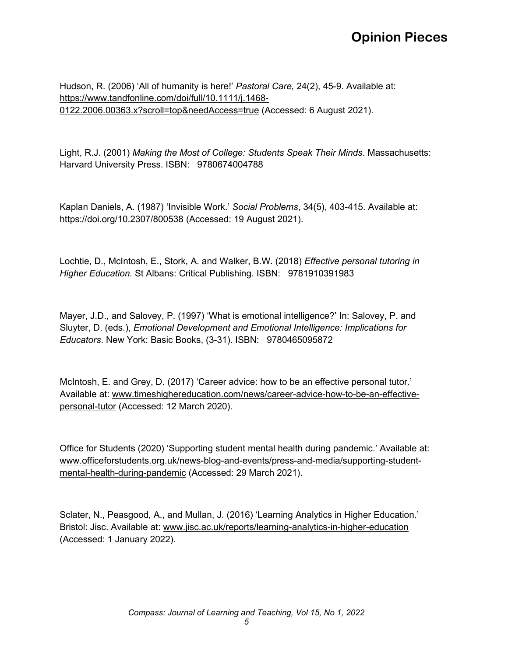Hudson, R. (2006) 'All of humanity is here!' *Pastoral Care,* 24(2), 45-9. Available at: [https://www.tandfonline.com/doi/full/10.1111/j.1468-](https://www.tandfonline.com/doi/full/10.1111/j.1468-0122.2006.00363.x?scroll=top&needAccess=true) [0122.2006.00363.x?scroll=top&needAccess=true](https://www.tandfonline.com/doi/full/10.1111/j.1468-0122.2006.00363.x?scroll=top&needAccess=true) (Accessed: 6 August 2021).

Light, R.J. (2001) *Making the Most of College: Students Speak Their Minds*. Massachusetts: Harvard University Press. ISBN: 9780674004788

Kaplan Daniels, A. (1987) 'Invisible Work.' *Social Problems*, 34(5), 403-415. Available at: https://doi.org/10.2307/800538 (Accessed: 19 August 2021).

Lochtie, D., McIntosh, E., Stork, A. and Walker, B.W. (2018) *Effective personal tutoring in Higher Education.* St Albans: Critical Publishing. ISBN: 9781910391983

Mayer, J.D., and Salovey, P. (1997) 'What is emotional intelligence?' In: Salovey, P. and Sluyter, D. (eds.), *Emotional Development and Emotional Intelligence: Implications for Educators*. New York: Basic Books, (3-31). ISBN: 9780465095872

McIntosh, E. and Grey, D. (2017) 'Career advice: how to be an effective personal tutor.' Available at: [www.timeshighereducation.com/news/career-advice-how-to-be-an-effective](http://www.timeshighereducation.com/news/career-advice-how-to-be-an-effective-personal-tutor)[personal-tutor](http://www.timeshighereducation.com/news/career-advice-how-to-be-an-effective-personal-tutor) (Accessed: 12 March 2020).

Office for Students (2020) 'Supporting student mental health during pandemic.' Available at: [www.officeforstudents.org.uk/news-blog-and-events/press-and-media/supporting-student](http://www.officeforstudents.org.uk/news-blog-and-events/press-and-media/supporting-student-mental-health-during-pandemic)[mental-health-during-pandemic](http://www.officeforstudents.org.uk/news-blog-and-events/press-and-media/supporting-student-mental-health-during-pandemic) (Accessed: 29 March 2021).

Sclater, N., Peasgood, A., and Mullan, J. (2016) 'Learning Analytics in Higher Education.' Bristol: Jisc. Available at: [www.jisc.ac.uk/reports/learning-analytics-in-higher-education](http://www.jisc.ac.uk/reports/learning-analytics-in-higher-education) (Accessed: 1 January 2022).